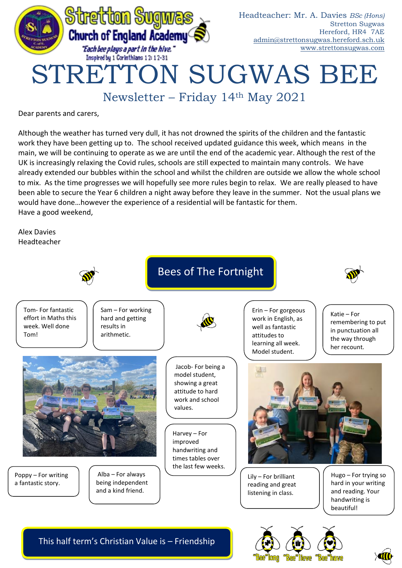

Newsletter – Friday 14th May 2021

Dear parents and carers,

Although the weather has turned very dull, it has not drowned the spirits of the children and the fantastic work they have been getting up to. The school received updated guidance this week, which means in the main, we will be continuing to operate as we are until the end of the academic year. Although the rest of the UK is increasingly relaxing the Covid rules, schools are still expected to maintain many controls. We have already extended our bubbles within the school and whilst the children are outside we allow the whole school to mix. As the time progresses we will hopefully see more rules begin to relax. We are really pleased to have been able to secure the Year 6 children a night away before they leave in the summer. Not the usual plans we would have done…however the experience of a residential will be fantastic for them. Have a good weekend,

Alex Davies Headteacher



This half term's Christian Value is – Friendship